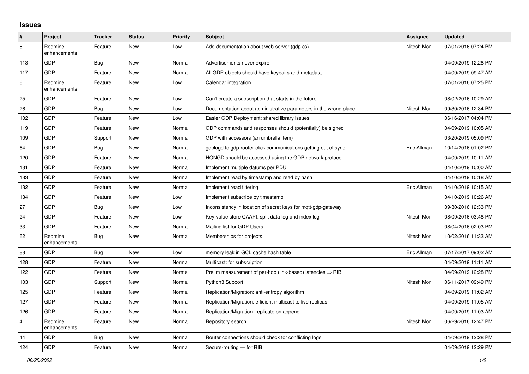## **Issues**

| #              | Project                 | <b>Tracker</b> | <b>Status</b> | <b>Priority</b> | <b>Subject</b>                                                         | Assignee    | <b>Updated</b>      |
|----------------|-------------------------|----------------|---------------|-----------------|------------------------------------------------------------------------|-------------|---------------------|
| 8              | Redmine<br>enhancements | Feature        | <b>New</b>    | Low             | Add documentation about web-server (gdp.cs)                            | Nitesh Mor  | 07/01/2016 07:24 PM |
| 113            | <b>GDP</b>              | Bug            | New           | Normal          | Advertisements never expire                                            |             | 04/09/2019 12:28 PM |
| 117            | GDP                     | Feature        | <b>New</b>    | Normal          | All GDP objects should have keypairs and metadata                      |             | 04/09/2019 09:47 AM |
| 6              | Redmine<br>enhancements | Feature        | <b>New</b>    | Low             | Calendar integration                                                   |             | 07/01/2016 07:25 PM |
| 25             | GDP                     | Feature        | <b>New</b>    | Low             | Can't create a subscription that starts in the future                  |             | 08/02/2016 10:29 AM |
| 26             | GDP                     | Bug            | <b>New</b>    | Low             | Documentation about administrative parameters in the wrong place       | Nitesh Mor  | 09/30/2016 12:34 PM |
| 102            | <b>GDP</b>              | Feature        | <b>New</b>    | Low             | Easier GDP Deployment: shared library issues                           |             | 06/16/2017 04:04 PM |
| 119            | GDP                     | Feature        | <b>New</b>    | Normal          | GDP commands and responses should (potentially) be signed              |             | 04/09/2019 10:05 AM |
| 109            | GDP                     | Support        | New           | Normal          | GDP with accessors (an umbrella item)                                  |             | 03/20/2019 05:09 PM |
| 64             | <b>GDP</b>              | Bug            | <b>New</b>    | Normal          | gdplogd to gdp-router-click communications getting out of sync         | Eric Allman | 10/14/2016 01:02 PM |
| 120            | GDP                     | Feature        | <b>New</b>    | Normal          | HONGD should be accessed using the GDP network protocol                |             | 04/09/2019 10:11 AM |
| 131            | GDP                     | Feature        | <b>New</b>    | Normal          | Implement multiple datums per PDU                                      |             | 04/10/2019 10:00 AM |
| 133            | GDP                     | Feature        | <b>New</b>    | Normal          | Implement read by timestamp and read by hash                           |             | 04/10/2019 10:18 AM |
| 132            | GDP                     | Feature        | <b>New</b>    | Normal          | Implement read filtering                                               | Eric Allman | 04/10/2019 10:15 AM |
| 134            | GDP                     | Feature        | <b>New</b>    | Low             | Implement subscribe by timestamp                                       |             | 04/10/2019 10:26 AM |
| 27             | GDP                     | <b>Bug</b>     | New           | Low             | Inconsistency in location of secret keys for mqtt-gdp-gateway          |             | 09/30/2016 12:33 PM |
| 24             | <b>GDP</b>              | Feature        | <b>New</b>    | Low             | Key-value store CAAPI: split data log and index log                    | Nitesh Mor  | 08/09/2016 03:48 PM |
| 33             | GDP                     | Feature        | <b>New</b>    | Normal          | Mailing list for GDP Users                                             |             | 08/04/2016 02:03 PM |
| 62             | Redmine<br>enhancements | Bug            | New           | Normal          | Memberships for projects                                               | Nitesh Mor  | 10/02/2016 11:33 AM |
| 88             | GDP                     | Bug            | <b>New</b>    | Low             | memory leak in GCL cache hash table                                    | Eric Allman | 07/17/2017 09:02 AM |
| 128            | GDP                     | Feature        | <b>New</b>    | Normal          | Multicast: for subscription                                            |             | 04/09/2019 11:11 AM |
| 122            | <b>GDP</b>              | Feature        | <b>New</b>    | Normal          | Prelim measurement of per-hop (link-based) latencies $\Rightarrow$ RIB |             | 04/09/2019 12:28 PM |
| 103            | <b>GDP</b>              | Support        | <b>New</b>    | Normal          | Python3 Support                                                        | Nitesh Mor  | 06/11/2017 09:49 PM |
| 125            | GDP                     | Feature        | New           | Normal          | Replication/Migration: anti-entropy algorithm                          |             | 04/09/2019 11:02 AM |
| 127            | <b>GDP</b>              | Feature        | <b>New</b>    | Normal          | Replication/Migration: efficient multicast to live replicas            |             | 04/09/2019 11:05 AM |
| 126            | GDP                     | Feature        | <b>New</b>    | Normal          | Replication/Migration: replicate on append                             |             | 04/09/2019 11:03 AM |
| $\overline{4}$ | Redmine<br>enhancements | Feature        | <b>New</b>    | Normal          | Repository search                                                      | Nitesh Mor  | 06/29/2016 12:47 PM |
| 44             | GDP                     | <b>Bug</b>     | <b>New</b>    | Normal          | Router connections should check for conflicting logs                   |             | 04/09/2019 12:28 PM |
| 124            | GDP                     | Feature        | New           | Normal          | Secure-routing - for RIB                                               |             | 04/09/2019 12:29 PM |